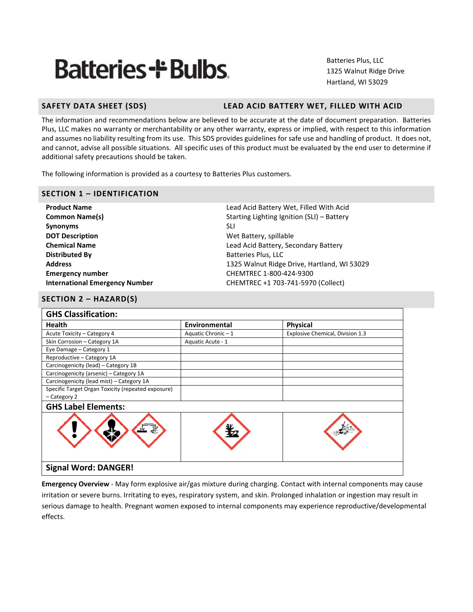# **Batteries+ Bulbs**

Batteries Plus, LLC 1325 Walnut Ridge Drive Hartland, WI 53029

# **SAFETY DATA SHEET (SDS) LEAD ACID BATTERY WET, FILLED WITH ACID**

The information and recommendations below are believed to be accurate at the date of document preparation. Batteries Plus, LLC makes no warranty or merchantability or any other warranty, express or implied, with respect to this information and assumes no liability resulting from its use. This SDS provides guidelines for safe use and handling of product. It does not, and cannot, advise all possible situations. All specific uses of this product must be evaluated by the end user to determine if additional safety precautions should be taken.

The following information is provided as a courtesy to Batteries Plus customers.

### **SECTION 1 – IDENTIFICATION**

**Synonyms** SLI **DOT Description** Manual Manual Met Battery, spillable **Distributed By** Batteries Plus, LLC **Emergency number** CHEMTREC 1-800-424-9300

**Product Name** Lead Acid Battery Wet, Filled With Acid **Common Name(s) Common Name(s)** Starting Lighting Ignition (SLI) – Battery **Chemical Name Chemical Name Lead Acid Battery, Secondary Battery Address** 1325 Walnut Ridge Drive, Hartland, WI 53029 **International Emergency Number** CHEMTREC +1 703-741-5970 (Collect)

# **SECTION 2 – HAZARD(S)**

| <b>GHS Classification:</b>                         |                   |                                  |
|----------------------------------------------------|-------------------|----------------------------------|
| <b>Health</b>                                      | Environmental     | <b>Physical</b>                  |
| Acute Toxicity - Category 4                        | Aquatic Chronic-1 | Explosive Chemical, Division 1.3 |
| Skin Corrosion - Category 1A                       | Aquatic Acute - 1 |                                  |
| Eye Damage - Category 1                            |                   |                                  |
| Reproductive - Category 1A                         |                   |                                  |
| Carcinogenicity (lead) - Category 1B               |                   |                                  |
| Carcinogenicity (arsenic) - Category 1A            |                   |                                  |
| Carcinogenicity (lead mist) - Category 1A          |                   |                                  |
| Specific Target Organ Toxicity (repeated exposure) |                   |                                  |
| - Category 2                                       |                   |                                  |
| <b>GHS Label Elements:</b>                         |                   |                                  |
|                                                    |                   |                                  |
| <b>Signal Word: DANGER!</b>                        |                   |                                  |

**Emergency Overview** - May form explosive air/gas mixture during charging. Contact with internal components may cause irritation or severe burns. Irritating to eyes, respiratory system, and skin. Prolonged inhalation or ingestion may result in serious damage to health. Pregnant women exposed to internal components may experience reproductive/developmental effects.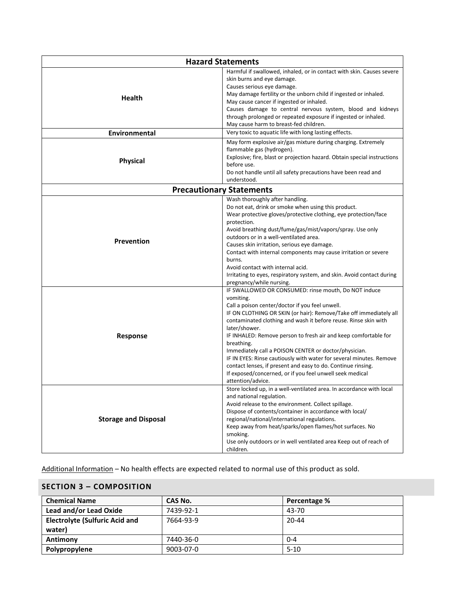| <b>Hazard Statements</b>    |                                                                                                                                                                                                                                                                                                                                                                                                                                                                                                                                                                                                                                                 |  |  |  |
|-----------------------------|-------------------------------------------------------------------------------------------------------------------------------------------------------------------------------------------------------------------------------------------------------------------------------------------------------------------------------------------------------------------------------------------------------------------------------------------------------------------------------------------------------------------------------------------------------------------------------------------------------------------------------------------------|--|--|--|
| <b>Health</b>               | Harmful if swallowed, inhaled, or in contact with skin. Causes severe<br>skin burns and eye damage.<br>Causes serious eye damage.<br>May damage fertility or the unborn child if ingested or inhaled.<br>May cause cancer if ingested or inhaled.<br>Causes damage to central nervous system, blood and kidneys<br>through prolonged or repeated exposure if ingested or inhaled.<br>May cause harm to breast-fed children.                                                                                                                                                                                                                     |  |  |  |
| Environmental               | Very toxic to aquatic life with long lasting effects.                                                                                                                                                                                                                                                                                                                                                                                                                                                                                                                                                                                           |  |  |  |
| <b>Physical</b>             | May form explosive air/gas mixture during charging. Extremely<br>flammable gas (hydrogen).<br>Explosive; fire, blast or projection hazard. Obtain special instructions<br>before use.<br>Do not handle until all safety precautions have been read and<br>understood.                                                                                                                                                                                                                                                                                                                                                                           |  |  |  |
|                             | <b>Precautionary Statements</b>                                                                                                                                                                                                                                                                                                                                                                                                                                                                                                                                                                                                                 |  |  |  |
| Prevention                  | Wash thoroughly after handling.<br>Do not eat, drink or smoke when using this product.<br>Wear protective gloves/protective clothing, eye protection/face<br>protection.<br>Avoid breathing dust/fume/gas/mist/vapors/spray. Use only<br>outdoors or in a well-ventilated area.<br>Causes skin irritation, serious eye damage.<br>Contact with internal components may cause irritation or severe<br>burns.<br>Avoid contact with internal acid.<br>Irritating to eyes, respiratory system, and skin. Avoid contact during<br>pregnancy/while nursing.                                                                                          |  |  |  |
| Response                    | IF SWALLOWED OR CONSUMED: rinse mouth, Do NOT induce<br>vomiting.<br>Call a poison center/doctor if you feel unwell.<br>IF ON CLOTHING OR SKIN (or hair): Remove/Take off immediately all<br>contaminated clothing and wash it before reuse. Rinse skin with<br>later/shower.<br>IF INHALED: Remove person to fresh air and keep comfortable for<br>breathing.<br>Immediately call a POISON CENTER or doctor/physician.<br>IF IN EYES: Rinse cautiously with water for several minutes. Remove<br>contact lenses, if present and easy to do. Continue rinsing.<br>If exposed/concerned, or if you feel unwell seek medical<br>attention/advice. |  |  |  |
| <b>Storage and Disposal</b> | Store locked up, in a well-ventilated area. In accordance with local<br>and national regulation.<br>Avoid release to the environment. Collect spillage.<br>Dispose of contents/container in accordance with local/<br>regional/national/international regulations.<br>Keep away from heat/sparks/open flames/hot surfaces. No<br>smoking.<br>Use only outdoors or in well ventilated area Keep out of reach of<br>children.                                                                                                                                                                                                                     |  |  |  |

Additional Information – No health effects are expected related to normal use of this product as sold.

# **SECTION 3 – COMPOSITION**

| <b>Chemical Name</b>                  | CAS No.   | Percentage % |
|---------------------------------------|-----------|--------------|
| Lead and/or Lead Oxide                | 7439-92-1 | 43-70        |
| <b>Electrolyte (Sulfuric Acid and</b> | 7664-93-9 | $20 - 44$    |
| water)                                |           |              |
| Antimony                              | 7440-36-0 | $0 - 4$      |
| Polypropylene                         | 9003-07-0 | $5 - 10$     |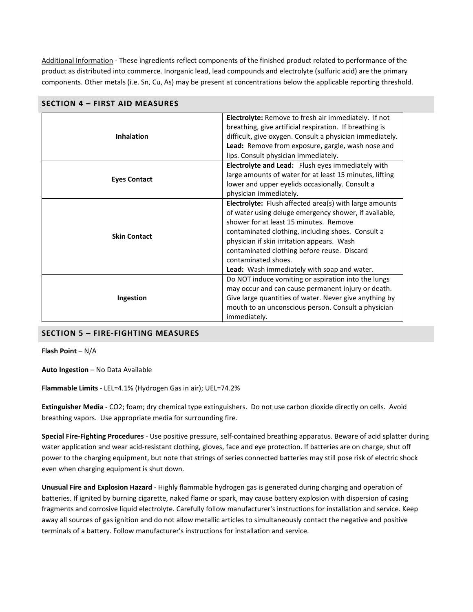Additional Information - These ingredients reflect components of the finished product related to performance of the product as distributed into commerce. Inorganic lead, lead compounds and electrolyte (sulfuric acid) are the primary components. Other metals (i.e. Sn, Cu, As) may be present at concentrations below the applicable reporting threshold.

|                     | <b>Electrolyte:</b> Remove to fresh air immediately. If not<br>breathing, give artificial respiration. If breathing is |  |  |  |
|---------------------|------------------------------------------------------------------------------------------------------------------------|--|--|--|
| <b>Inhalation</b>   | difficult, give oxygen. Consult a physician immediately.                                                               |  |  |  |
|                     | Lead: Remove from exposure, gargle, wash nose and                                                                      |  |  |  |
|                     | lips. Consult physician immediately.                                                                                   |  |  |  |
|                     | Electrolyte and Lead: Flush eyes immediately with                                                                      |  |  |  |
| <b>Eyes Contact</b> | large amounts of water for at least 15 minutes, lifting                                                                |  |  |  |
|                     | lower and upper eyelids occasionally. Consult a                                                                        |  |  |  |
|                     | physician immediately.                                                                                                 |  |  |  |
|                     | Electrolyte: Flush affected area(s) with large amounts                                                                 |  |  |  |
|                     | of water using deluge emergency shower, if available,                                                                  |  |  |  |
|                     | shower for at least 15 minutes. Remove                                                                                 |  |  |  |
|                     | contaminated clothing, including shoes. Consult a                                                                      |  |  |  |
| <b>Skin Contact</b> | physician if skin irritation appears. Wash                                                                             |  |  |  |
|                     | contaminated clothing before reuse. Discard                                                                            |  |  |  |
|                     | contaminated shoes.                                                                                                    |  |  |  |
|                     | <b>Lead:</b> Wash immediately with soap and water.                                                                     |  |  |  |
|                     | Do NOT induce vomiting or aspiration into the lungs                                                                    |  |  |  |
|                     | may occur and can cause permanent injury or death.                                                                     |  |  |  |
| Ingestion           | Give large quantities of water. Never give anything by                                                                 |  |  |  |
|                     | mouth to an unconscious person. Consult a physician                                                                    |  |  |  |
|                     | immediately.                                                                                                           |  |  |  |

| <b>SECTION 4 – FIRST AID MEASURES</b> |
|---------------------------------------|
|---------------------------------------|

#### **SECTION 5 – FIRE-FIGHTING MEASURES**

**Flash Point** – N/A

**Auto Ingestion** – No Data Available

**Flammable Limits** - LEL=4.1% (Hydrogen Gas in air); UEL=74.2%

**Extinguisher Media** - CO2; foam; dry chemical type extinguishers. Do not use carbon dioxide directly on cells. Avoid breathing vapors. Use appropriate media for surrounding fire.

**Special Fire-Fighting Procedures** - Use positive pressure, self-contained breathing apparatus. Beware of acid splatter during water application and wear acid-resistant clothing, gloves, face and eye protection. If batteries are on charge, shut off power to the charging equipment, but note that strings of series connected batteries may still pose risk of electric shock even when charging equipment is shut down.

**Unusual Fire and Explosion Hazard** - Highly flammable hydrogen gas is generated during charging and operation of batteries. If ignited by burning cigarette, naked flame or spark, may cause battery explosion with dispersion of casing fragments and corrosive liquid electrolyte. Carefully follow manufacturer's instructions for installation and service. Keep away all sources of gas ignition and do not allow metallic articles to simultaneously contact the negative and positive terminals of a battery. Follow manufacturer's instructions for installation and service.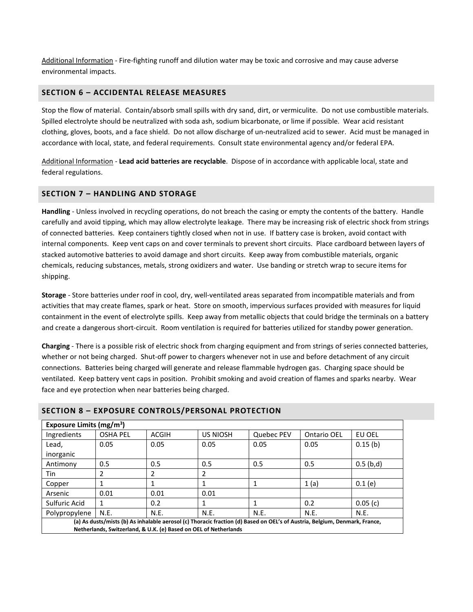Additional Information - Fire-fighting runoff and dilution water may be toxic and corrosive and may cause adverse environmental impacts.

#### **SECTION 6 – ACCIDENTAL RELEASE MEASURES**

Stop the flow of material. Contain/absorb small spills with dry sand, dirt, or vermiculite. Do not use combustible materials. Spilled electrolyte should be neutralized with soda ash, sodium bicarbonate, or lime if possible. Wear acid resistant clothing, gloves, boots, and a face shield. Do not allow discharge of un-neutralized acid to sewer. Acid must be managed in accordance with local, state, and federal requirements. Consult state environmental agency and/or federal EPA.

Additional Information - **Lead acid batteries are recyclable**. Dispose of in accordance with applicable local, state and federal regulations.

#### **SECTION 7 – HANDLING AND STORAGE**

**Handling** - Unless involved in recycling operations, do not breach the casing or empty the contents of the battery. Handle carefully and avoid tipping, which may allow electrolyte leakage. There may be increasing risk of electric shock from strings of connected batteries. Keep containers tightly closed when not in use. If battery case is broken, avoid contact with internal components. Keep vent caps on and cover terminals to prevent short circuits. Place cardboard between layers of stacked automotive batteries to avoid damage and short circuits. Keep away from combustible materials, organic chemicals, reducing substances, metals, strong oxidizers and water. Use banding or stretch wrap to secure items for shipping.

**Storage** - Store batteries under roof in cool, dry, well-ventilated areas separated from incompatible materials and from activities that may create flames, spark or heat. Store on smooth, impervious surfaces provided with measures for liquid containment in the event of electrolyte spills. Keep away from metallic objects that could bridge the terminals on a battery and create a dangerous short-circuit. Room ventilation is required for batteries utilized for standby power generation.

**Charging** - There is a possible risk of electric shock from charging equipment and from strings of series connected batteries, whether or not being charged. Shut-off power to chargers whenever not in use and before detachment of any circuit connections. Batteries being charged will generate and release flammable hydrogen gas. Charging space should be ventilated. Keep battery vent caps in position. Prohibit smoking and avoid creation of flames and sparks nearby. Wear face and eye protection when near batteries being charged.

| Exposure Limits (mg/m <sup>3</sup> )                                                                                       |                 |              |                 |            |                    |             |
|----------------------------------------------------------------------------------------------------------------------------|-----------------|--------------|-----------------|------------|--------------------|-------------|
| Ingredients                                                                                                                | <b>OSHA PEL</b> | <b>ACGIH</b> | <b>US NIOSH</b> | Quebec PEV | <b>Ontario OEL</b> | EU OEL      |
| Lead,                                                                                                                      | 0.05            | 0.05         | 0.05            | 0.05       | 0.05               | 0.15(b)     |
| inorganic                                                                                                                  |                 |              |                 |            |                    |             |
| Antimony                                                                                                                   | 0.5             | 0.5          | 0.5             | 0.5        | 0.5                | $0.5$ (b,d) |
| Tin                                                                                                                        | 2               | 2            | 2               |            |                    |             |
| Copper                                                                                                                     |                 |              |                 | 1          | 1(a)               | 0.1(e)      |
| Arsenic                                                                                                                    | 0.01            | 0.01         | 0.01            |            |                    |             |
| Sulfuric Acid                                                                                                              | 1               | 0.2          |                 |            | 0.2                | 0.05(c)     |
| Polypropylene                                                                                                              | N.E.            | N.E.         | N.E.            | N.E.       | N.E.               | N.E.        |
| (a) As dusts/mists (b) As inhalable aerosol (c) Thoracic fraction (d) Based on OEL's of Austria, Belgium, Denmark, France, |                 |              |                 |            |                    |             |
| Netherlands, Switzerland, & U.K. (e) Based on OEL of Netherlands                                                           |                 |              |                 |            |                    |             |

#### **SECTION 8 – EXPOSURE CONTROLS/PERSONAL PROTECTION**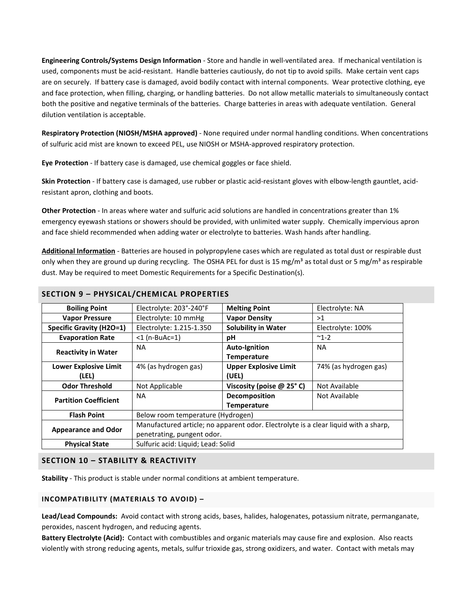**Engineering Controls/Systems Design Information** - Store and handle in well-ventilated area. If mechanical ventilation is used, components must be acid-resistant. Handle batteries cautiously, do not tip to avoid spills. Make certain vent caps are on securely. If battery case is damaged, avoid bodily contact with internal components. Wear protective clothing, eye and face protection, when filling, charging, or handling batteries. Do not allow metallic materials to simultaneously contact both the positive and negative terminals of the batteries. Charge batteries in areas with adequate ventilation. General dilution ventilation is acceptable.

**Respiratory Protection (NIOSH/MSHA approved)** - None required under normal handling conditions. When concentrations of sulfuric acid mist are known to exceed PEL, use NIOSH or MSHA-approved respiratory protection.

**Eye Protection** - If battery case is damaged, use chemical goggles or face shield.

**Skin Protection** - If battery case is damaged, use rubber or plastic acid-resistant gloves with elbow-length gauntlet, acidresistant apron, clothing and boots.

**Other Protection** - In areas where water and sulfuric acid solutions are handled in concentrations greater than 1% emergency eyewash stations or showers should be provided, with unlimited water supply. Chemically impervious apron and face shield recommended when adding water or electrolyte to batteries. Wash hands after handling.

**Additional Information** - Batteries are housed in polypropylene cases which are regulated as total dust or respirable dust only when they are ground up during recycling. The OSHA PEL for dust is 15 mg/m<sup>3</sup> as total dust or 5 mg/m<sup>3</sup> as respirable dust. May be required to meet Domestic Requirements for a Specific Destination(s).

| <b>Boiling Point</b>            | Electrolyte: 203°-240°F                                                             | <b>Melting Point</b>         | Electrolyte: NA       |  |
|---------------------------------|-------------------------------------------------------------------------------------|------------------------------|-----------------------|--|
| <b>Vapor Pressure</b>           | Electrolyte: 10 mmHg                                                                | <b>Vapor Density</b>         | >1                    |  |
| <b>Specific Gravity (H2O=1)</b> | Electrolyte: 1.215-1.350                                                            | <b>Solubility in Water</b>   | Electrolyte: 100%     |  |
| <b>Evaporation Rate</b>         | $<$ 1 (n-BuAc=1)                                                                    | рH                           | $~^{\sim}$ 1-2        |  |
|                                 | <b>NA</b>                                                                           | <b>Auto-Ignition</b>         | <b>NA</b>             |  |
| <b>Reactivity in Water</b>      |                                                                                     | <b>Temperature</b>           |                       |  |
| <b>Lower Explosive Limit</b>    | 4% (as hydrogen gas)                                                                | <b>Upper Explosive Limit</b> | 74% (as hydrogen gas) |  |
| (LEL)                           |                                                                                     | (UEL)                        |                       |  |
| <b>Odor Threshold</b>           | Not Applicable                                                                      | Viscosity (poise @ 25°C)     | Not Available         |  |
| <b>Partition Coefficient</b>    | <b>NA</b>                                                                           | Decomposition                | Not Available         |  |
|                                 |                                                                                     | <b>Temperature</b>           |                       |  |
| <b>Flash Point</b>              | Below room temperature (Hydrogen)                                                   |                              |                       |  |
|                                 | Manufactured article; no apparent odor. Electrolyte is a clear liquid with a sharp, |                              |                       |  |
| <b>Appearance and Odor</b>      | penetrating, pungent odor.                                                          |                              |                       |  |
| <b>Physical State</b>           | Sulfuric acid: Liquid; Lead: Solid                                                  |                              |                       |  |

# **SECTION 9 – PHYSICAL/CHEMICAL PROPERTIES**

#### **SECTION 10 – STABILITY & REACTIVITY**

**Stability** - This product is stable under normal conditions at ambient temperature.

#### **INCOMPATIBILITY (MATERIALS TO AVOID) –**

**Lead/Lead Compounds:** Avoid contact with strong acids, bases, halides, halogenates, potassium nitrate, permanganate, peroxides, nascent hydrogen, and reducing agents.

**Battery Electrolyte (Acid):** Contact with combustibles and organic materials may cause fire and explosion. Also reacts violently with strong reducing agents, metals, sulfur trioxide gas, strong oxidizers, and water. Contact with metals may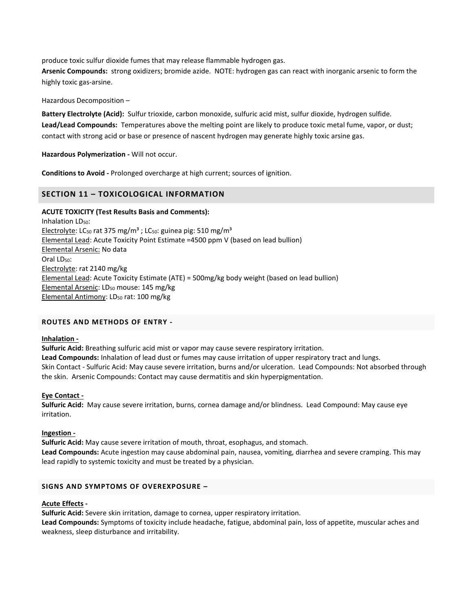produce toxic sulfur dioxide fumes that may release flammable hydrogen gas.

**Arsenic Compounds:** strong oxidizers; bromide azide. NOTE: hydrogen gas can react with inorganic arsenic to form the highly toxic gas-arsine.

Hazardous Decomposition –

**Battery Electrolyte (Acid):** Sulfur trioxide, carbon monoxide, sulfuric acid mist, sulfur dioxide, hydrogen sulfide. **Lead/Lead Compounds:** Temperatures above the melting point are likely to produce toxic metal fume, vapor, or dust; contact with strong acid or base or presence of nascent hydrogen may generate highly toxic arsine gas.

**Hazardous Polymerization -** Will not occur.

**Conditions to Avoid -** Prolonged overcharge at high current; sources of ignition.

#### **SECTION 11 – TOXICOLOGICAL INFORMATION**

#### **ACUTE TOXICITY (Test Results Basis and Comments):**

Inhalation LD<sub>50</sub>: Electrolyte: LC<sub>50</sub> rat 375 mg/m<sup>3</sup>; LC<sub>50</sub>: guinea pig: 510 mg/m<sup>3</sup> Elemental Lead: Acute Toxicity Point Estimate =4500 ppm V (based on lead bullion) Elemental Arsenic: No data Oral LD<sub>50</sub>: Electrolyte: rat 2140 mg/kg Elemental Lead: Acute Toxicity Estimate (ATE) = 500mg/kg body weight (based on lead bullion) Elemental Arsenic: LD<sub>50</sub> mouse: 145 mg/kg Elemental Antimony: LD<sub>50</sub> rat: 100 mg/kg

#### **ROUTES AND METHODS OF ENTRY -**

#### **Inhalation -**

**Sulfuric Acid:** Breathing sulfuric acid mist or vapor may cause severe respiratory irritation. **Lead Compounds:** Inhalation of lead dust or fumes may cause irritation of upper respiratory tract and lungs. Skin Contact - Sulfuric Acid: May cause severe irritation, burns and/or ulceration. Lead Compounds: Not absorbed through the skin. Arsenic Compounds: Contact may cause dermatitis and skin hyperpigmentation.

#### **Eye Contact -**

**Sulfuric Acid:** May cause severe irritation, burns, cornea damage and/or blindness. Lead Compound: May cause eye irritation.

#### **Ingestion -**

**Sulfuric Acid:** May cause severe irritation of mouth, throat, esophagus, and stomach. **Lead Compounds:** Acute ingestion may cause abdominal pain, nausea, vomiting, diarrhea and severe cramping. This may lead rapidly to systemic toxicity and must be treated by a physician.

#### **SIGNS AND SYMPTOMS OF OVEREXPOSURE –**

#### **Acute Effects -**

**Sulfuric Acid:** Severe skin irritation, damage to cornea, upper respiratory irritation.

**Lead Compounds:** Symptoms of toxicity include headache, fatigue, abdominal pain, loss of appetite, muscular aches and weakness, sleep disturbance and irritability.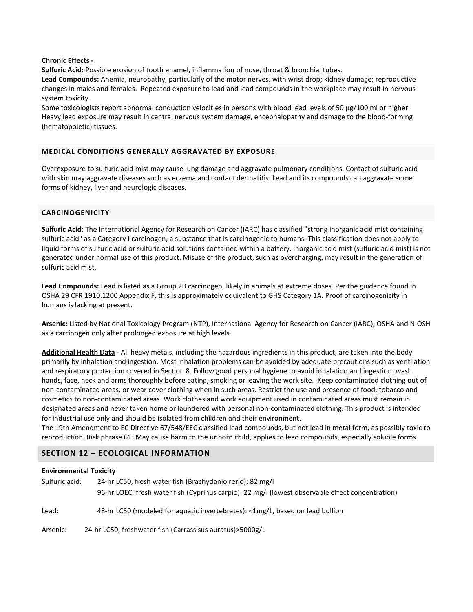#### **Chronic Effects -**

**Sulfuric Acid:** Possible erosion of tooth enamel, inflammation of nose, throat & bronchial tubes.

**Lead Compounds:** Anemia, neuropathy, particularly of the motor nerves, with wrist drop; kidney damage; reproductive changes in males and females. Repeated exposure to lead and lead compounds in the workplace may result in nervous system toxicity.

Some toxicologists report abnormal conduction velocities in persons with blood lead levels of 50 μg/100 ml or higher. Heavy lead exposure may result in central nervous system damage, encephalopathy and damage to the blood-forming (hematopoietic) tissues.

#### **MEDICAL CONDITIONS GENERALLY AGGRAVATED BY EXPOSURE**

Overexposure to sulfuric acid mist may cause lung damage and aggravate pulmonary conditions. Contact of sulfuric acid with skin may aggravate diseases such as eczema and contact dermatitis. Lead and its compounds can aggravate some forms of kidney, liver and neurologic diseases.

#### **CARCINOGENICITY**

**Sulfuric Acid:** The International Agency for Research on Cancer (IARC) has classified "strong inorganic acid mist containing sulfuric acid" as a Category I carcinogen, a substance that is carcinogenic to humans. This classification does not apply to liquid forms of sulfuric acid or sulfuric acid solutions contained within a battery. Inorganic acid mist (sulfuric acid mist) is not generated under normal use of this product. Misuse of the product, such as overcharging, may result in the generation of sulfuric acid mist.

**Lead Compounds:** Lead is listed as a Group 2B carcinogen, likely in animals at extreme doses. Per the guidance found in OSHA 29 CFR 1910.1200 Appendix F, this is approximately equivalent to GHS Category 1A. Proof of carcinogenicity in humans is lacking at present.

**Arsenic:** Listed by National Toxicology Program (NTP), International Agency for Research on Cancer (IARC), OSHA and NIOSH as a carcinogen only after prolonged exposure at high levels.

**Additional Health Data** - All heavy metals, including the hazardous ingredients in this product, are taken into the body primarily by inhalation and ingestion. Most inhalation problems can be avoided by adequate precautions such as ventilation and respiratory protection covered in Section 8. Follow good personal hygiene to avoid inhalation and ingestion: wash hands, face, neck and arms thoroughly before eating, smoking or leaving the work site. Keep contaminated clothing out of non-contaminated areas, or wear cover clothing when in such areas. Restrict the use and presence of food, tobacco and cosmetics to non-contaminated areas. Work clothes and work equipment used in contaminated areas must remain in designated areas and never taken home or laundered with personal non-contaminated clothing. This product is intended for industrial use only and should be isolated from children and their environment.

The 19th Amendment to EC Directive 67/548/EEC classified lead compounds, but not lead in metal form, as possibly toxic to reproduction. Risk phrase 61: May cause harm to the unborn child, applies to lead compounds, especially soluble forms.

### **SECTION 12 – ECOLOGICAL INFORMATION**

#### **Environmental Toxicity**

| Sulfuric acid: | 24-hr LC50, fresh water fish (Brachydanio rerio): 82 mg/l<br>96-hr LOEC, fresh water fish (Cyprinus carpio): 22 mg/l (lowest observable effect concentration) |
|----------------|---------------------------------------------------------------------------------------------------------------------------------------------------------------|
| Lead:          | 48-hr LC50 (modeled for aquatic invertebrates): <1mg/L, based on lead bullion                                                                                 |
| Arsenic:       | 24-hr LC50, freshwater fish (Carrassisus auratus)>5000g/L                                                                                                     |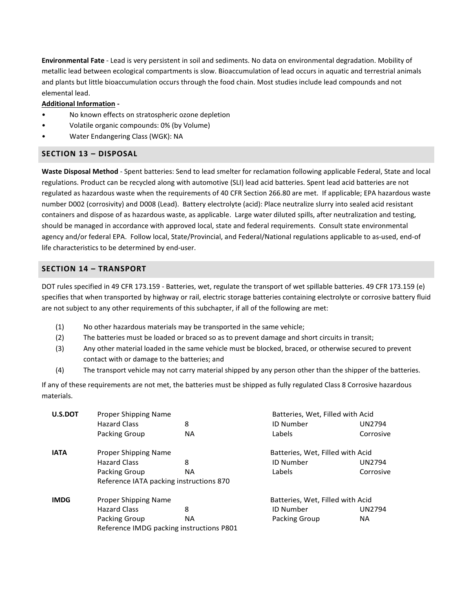**Environmental Fate** - Lead is very persistent in soil and sediments. No data on environmental degradation. Mobility of metallic lead between ecological compartments is slow. Bioaccumulation of lead occurs in aquatic and terrestrial animals and plants but little bioaccumulation occurs through the food chain. Most studies include lead compounds and not elemental lead.

# **Additional Information -**

- No known effects on stratospheric ozone depletion
- Volatile organic compounds: 0% (by Volume)
- Water Endangering Class (WGK): NA

# **SECTION 13 – DISPOSAL**

**Waste Disposal Method** - Spent batteries: Send to lead smelter for reclamation following applicable Federal, State and local regulations. Product can be recycled along with automotive (SLI) lead acid batteries. Spent lead acid batteries are not regulated as hazardous waste when the requirements of 40 CFR Section 266.80 are met. If applicable; EPA hazardous waste number D002 (corrosivity) and D008 (Lead). Battery electrolyte (acid): Place neutralize slurry into sealed acid resistant containers and dispose of as hazardous waste, as applicable. Large water diluted spills, after neutralization and testing, should be managed in accordance with approved local, state and federal requirements. Consult state environmental agency and/or federal EPA. Follow local, State/Provincial, and Federal/National regulations applicable to as-used, end-of life characteristics to be determined by end-user.

# **SECTION 14 – TRANSPORT**

DOT rules specified in 49 CFR 173.159 - Batteries, wet, regulate the transport of wet spillable batteries. 49 CFR 173.159 (e) specifies that when transported by highway or rail, electric storage batteries containing electrolyte or corrosive battery fluid are not subject to any other requirements of this subchapter, if all of the following are met:

- (1) No other hazardous materials may be transported in the same vehicle;
- (2) The batteries must be loaded or braced so as to prevent damage and short circuits in transit;
- (3) Any other material loaded in the same vehicle must be blocked, braced, or otherwise secured to prevent contact with or damage to the batteries; and
- (4) The transport vehicle may not carry material shipped by any person other than the shipper of the batteries.

If any of these requirements are not met, the batteries must be shipped as fully regulated Class 8 Corrosive hazardous materials.

| U.S.DOT     | Proper Shipping Name                     |     | Batteries, Wet, Filled with Acid |               |
|-------------|------------------------------------------|-----|----------------------------------|---------------|
|             | <b>Hazard Class</b>                      | 8   | <b>ID Number</b>                 | <b>UN2794</b> |
|             | Packing Group                            | NA. | Labels                           | Corrosive     |
| <b>IATA</b> | Proper Shipping Name                     |     | Batteries, Wet, Filled with Acid |               |
|             | <b>Hazard Class</b>                      | 8   | <b>ID Number</b>                 | <b>UN2794</b> |
|             | Packing Group                            | NA. | Labels                           | Corrosive     |
|             | Reference IATA packing instructions 870  |     |                                  |               |
| <b>IMDG</b> | Proper Shipping Name                     |     | Batteries, Wet, Filled with Acid |               |
|             | <b>Hazard Class</b>                      | 8   | <b>ID Number</b>                 | <b>UN2794</b> |
|             | Packing Group                            | NA  | Packing Group                    | NA.           |
|             | Reference IMDG packing instructions P801 |     |                                  |               |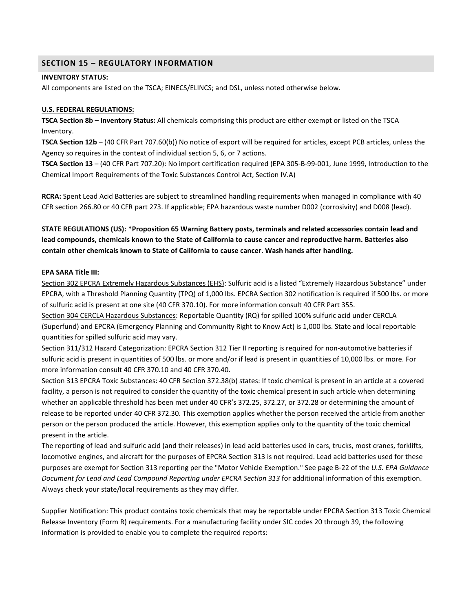### **SECTION 15 – REGULATORY INFORMATION**

#### **INVENTORY STATUS:**

All components are listed on the TSCA; EINECS/ELINCS; and DSL, unless noted otherwise below.

#### **U.S. FEDERAL REGULATIONS:**

**TSCA Section 8b – Inventory Status:** All chemicals comprising this product are either exempt or listed on the TSCA Inventory.

**TSCA Section 12b** – (40 CFR Part 707.60(b)) No notice of export will be required for articles, except PCB articles, unless the Agency so requires in the context of individual section 5, 6, or 7 actions.

**TSCA Section 13** – (40 CFR Part 707.20): No import certification required (EPA 305-B-99-001, June 1999, Introduction to the Chemical Import Requirements of the Toxic Substances Control Act, Section IV.A)

**RCRA:** Spent Lead Acid Batteries are subject to streamlined handling requirements when managed in compliance with 40 CFR section 266.80 or 40 CFR part 273. If applicable; EPA hazardous waste number D002 (corrosivity) and D008 (lead).

# **STATE REGULATIONS (US): \*Proposition 65 Warning Battery posts, terminals and related accessories contain lead and lead compounds, chemicals known to the State of California to cause cancer and reproductive harm. Batteries also contain other chemicals known to State of California to cause cancer. Wash hands after handling.**

#### **EPA SARA Title III:**

Section 302 EPCRA Extremely Hazardous Substances (EHS): Sulfuric acid is a listed "Extremely Hazardous Substance" under EPCRA, with a Threshold Planning Quantity (TPQ) of 1,000 lbs. EPCRA Section 302 notification is required if 500 lbs. or more of sulfuric acid is present at one site (40 CFR 370.10). For more information consult 40 CFR Part 355.

Section 304 CERCLA Hazardous Substances: Reportable Quantity (RQ) for spilled 100% sulfuric acid under CERCLA (Superfund) and EPCRA (Emergency Planning and Community Right to Know Act) is 1,000 lbs. State and local reportable quantities for spilled sulfuric acid may vary.

Section 311/312 Hazard Categorization: EPCRA Section 312 Tier II reporting is required for non-automotive batteries if sulfuric acid is present in quantities of 500 lbs. or more and/or if lead is present in quantities of 10,000 lbs. or more. For more information consult 40 CFR 370.10 and 40 CFR 370.40.

Section 313 EPCRA Toxic Substances: 40 CFR Section 372.38(b) states: If toxic chemical is present in an article at a covered facility, a person is not required to consider the quantity of the toxic chemical present in such article when determining whether an applicable threshold has been met under 40 CFR's 372.25, 372.27, or 372.28 or determining the amount of release to be reported under 40 CFR 372.30. This exemption applies whether the person received the article from another person or the person produced the article. However, this exemption applies only to the quantity of the toxic chemical present in the article.

The reporting of lead and sulfuric acid (and their releases) in lead acid batteries used in cars, trucks, most cranes, forklifts, locomotive engines, and aircraft for the purposes of EPCRA Section 313 is not required. Lead acid batteries used for these purposes are exempt for Section 313 reporting per the "Motor Vehicle Exemption." See page B-22 of the *U.S. EPA Guidance Document for Lead and Lead Compound Reporting under EPCRA Section 313* for additional information of this exemption. Always check your state/local requirements as they may differ.

Supplier Notification: This product contains toxic chemicals that may be reportable under EPCRA Section 313 Toxic Chemical Release Inventory (Form R) requirements. For a manufacturing facility under SIC codes 20 through 39, the following information is provided to enable you to complete the required reports: